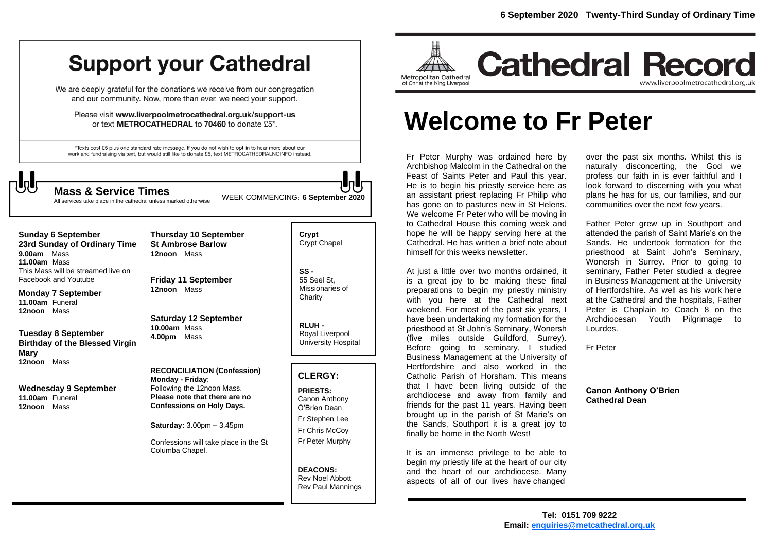## **Support your Cathedral**

We are deeply grateful for the donations we receive from our congregation and our community. Now, more than ever, we need your support.

Please visit www.liverpoolmetrocathedral.org.uk/support-us or text METROCATHEDRAL to 70460 to donate £5\*.

\*Texts cost £5 plus one standard rate message. If you do not wish to opt-in to hear more about our work and fundraising via text, but would still like to donate £5, text METROCATHEDRALNOINFO instead.

WEEK COMMENCING: **6 September <sup>2020</sup> Mass & Service Times**

All services take place in the cathedral unless marked otherwise

**Sunday 6 September 23rd Sunday of Ordinary Time 9.00am** Mass **11.00am** Mass This Mass will be streamed live on Facebook and Youtube

**Monday 7 September 11.00am** Funeral **12noon** Mass

**Tuesday 8 September Birthday of the Blessed Virgin Mary 12noon** Mass

**Wednesday 9 September 11.00am** Funeral **12noon** Mass

**St Ambrose Barlow 12noon** Mass

**Thursday 10 September**

**Friday 11 September 12noon** Mass

**Saturday 12 September 10.00am** Mass **4.00pm** Mass

**RECONCILIATION (Confession) Monday - Friday**: Following the 12noon Mass. **Please note that there are no Confessions on Holy Days.**

**Saturday:** 3.00pm – 3.45pm

Confessions will take place in the St Columba Chapel.

**Crypt**  Crypt Chapel

**SS -** 55 Seel St, Missionaries of **Charity** 

**RLUH -** Royal Liverpool University Hospital

### **CLERGY:**

**PRIESTS:** Canon Anthony O'Brien *Dean* Fr Stephen Lee Fr Chris McCoy Fr Peter Murphy

**DEACONS:** Rev Noel Abbott Rev Paul Mannings



# **Welcome to Fr Peter**

Fr Peter Murphy was ordained here by Archbishop Malcolm in the Cathedral on the Feast of Saints Peter and Paul this year. He is to begin his priestly service here as an assistant priest replacing Fr Philip who has gone on to pastures new in St Helens. We welcome Fr Peter who will be moving in to Cathedral House this coming week and hope he will be happy serving here at the Cathedral. He has written a brief note about himself for this weeks newsletter.

At just a little over two months ordained, it is a great joy to be making these final preparations to begin my priestly ministry with you here at the Cathedral next weekend. For most of the past six years, I have been undertaking my formation for the priesthood at St John's Seminary, Wonersh (five miles outside Guildford, Surrey). Before going to seminary, I studied Business Management at the University of Hertfordshire and also worked in the Catholic Parish of Horsham. This means that I have been living outside of the archdiocese and away from family and friends for the past 11 years. Having been brought up in the parish of St Marie's on the Sands, Southport it is a great joy to finally be home in the North West!

It is an immense privilege to be able to begin my priestly life at the heart of our city and the heart of our archdiocese. Many aspects of all of our lives have changed

over the past six months. Whilst this is naturally disconcerting, the God we profess our faith in is ever faithful and I look forward to discerning with you what plans he has for us, our families, and our communities over the next few years.

Father Peter grew up in Southport and attended the parish of Saint Marie's on the Sands. He undertook formation for the priesthood at Saint John's Seminary, Wonersh in Surrey. Prior to going to seminary, Father Peter studied a degree in Business Management at the University of Hertfordshire. As well as his work here at the Cathedral and the hospitals, Father Peter is Chaplain to Coach 8 on the Archdiocesan Youth Pilgrimage to Lourdes.

Fr Peter

#### **Canon Anthony O'Brien Cathedral Dean**